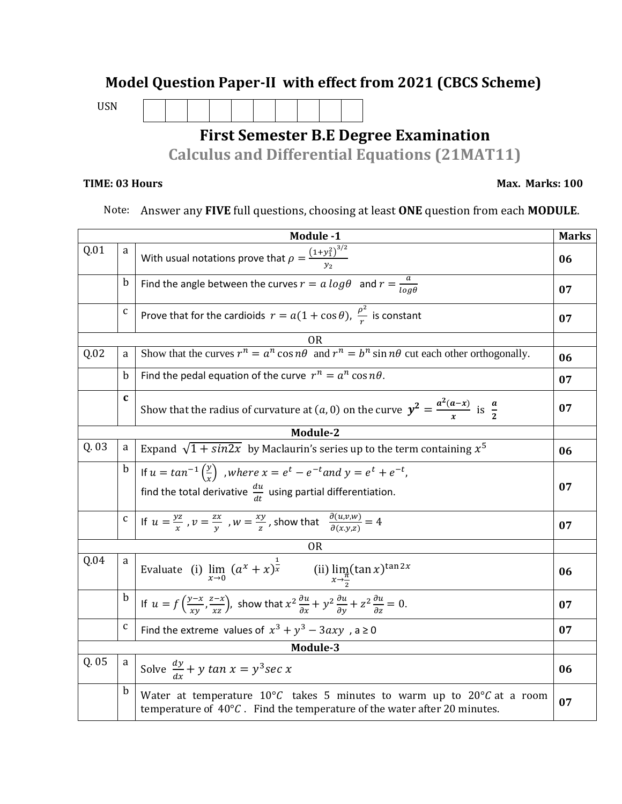## **Model Question Paper-II with effect from 2021 (CBCS Scheme)**

USN

## **First Semester B.E Degree Examination**

**Calculus and Differential Equations (21MAT11)**

## **TIME: 03 Hours Max. Marks: 100**

Note: Answer any **FIVE** full questions, choosing at least **ONE** question from each **MODULE**.

|                |              | Module -1                                                                                                                                                                           | <b>Marks</b> |  |  |
|----------------|--------------|-------------------------------------------------------------------------------------------------------------------------------------------------------------------------------------|--------------|--|--|
| Q.01           | a            | With usual notations prove that $\rho = \frac{(1+y_1^2)^{3/2}}{y_0}$                                                                                                                |              |  |  |
|                | $\mathbf b$  | Find the angle between the curves $r = a log \theta$ and $r = \frac{a}{ln \theta}$                                                                                                  |              |  |  |
|                | $\mathbf{C}$ | Prove that for the cardioids $r = a(1 + \cos \theta)$ , $\frac{\rho^2}{r}$ is constant                                                                                              |              |  |  |
| OR             |              |                                                                                                                                                                                     |              |  |  |
| Q.02           | a            | Show that the curves $r^n = a^n \cos n\theta$ and $r^n = b^n \sin n\theta$ cut each other orthogonally.                                                                             | 06           |  |  |
|                | $\mathbf b$  | Find the pedal equation of the curve $r^n = a^n \cos n\theta$ .                                                                                                                     | 07           |  |  |
|                | $\mathbf{c}$ | Show that the radius of curvature at $(a, 0)$ on the curve $y^2 = \frac{a^2(a-x)}{x}$ is $\frac{a}{2}$                                                                              | 07           |  |  |
| Module-2       |              |                                                                                                                                                                                     |              |  |  |
| Q. 03          | a            | Expand $\sqrt{1 + \sin 2x}$ by Maclaurin's series up to the term containing $x^5$                                                                                                   |              |  |  |
|                | $\mathbf b$  | If $u = \tan^{-1}\left(\frac{y}{x}\right)$ , where $x = e^t - e^{-t}$ and $y = e^t + e^{-t}$ ,                                                                                      |              |  |  |
|                |              | find the total derivative $\frac{du}{dt}$ using partial differentiation.                                                                                                            | 07           |  |  |
|                |              | c   If $u = \frac{yz}{x}$ , $v = \frac{zx}{y}$ , $w = \frac{xy}{z}$ , show that $\frac{\partial (u,v,w)}{\partial (x,vz)} = 4$                                                      | 07           |  |  |
| 0 <sub>R</sub> |              |                                                                                                                                                                                     |              |  |  |
| Q.04           | a            | Evaluate (i) $\lim_{x\to 0} (a^x + x)^{\frac{1}{x}}$ (ii) $\lim_{x\to \frac{\pi}{2}} (\tan x)^{\tan 2x}$                                                                            | 06           |  |  |
|                | $\mathbf b$  | If $u = f\left(\frac{y-x}{xy}, \frac{z-x}{xz}\right)$ , show that $x^2 \frac{\partial u}{\partial x} + y^2 \frac{\partial u}{\partial y} + z^2 \frac{\partial u}{\partial z} = 0$ . | 07           |  |  |
|                | $\mathsf{C}$ | Find the extreme values of $x^3 + y^3 - 3axy$ , a $\ge 0$                                                                                                                           | 07           |  |  |
| Module-3       |              |                                                                                                                                                                                     |              |  |  |
| Q.05           | a            | Solve $\frac{dy}{dx} + y \tan x = y^3 \sec x$                                                                                                                                       | 06           |  |  |
|                | b            | Water at temperature $10^{\circ}$ C takes 5 minutes to warm up to $20^{\circ}$ C at a room<br>temperature of $40^{\circ}$ C. Find the temperature of the water after 20 minutes.    | 07           |  |  |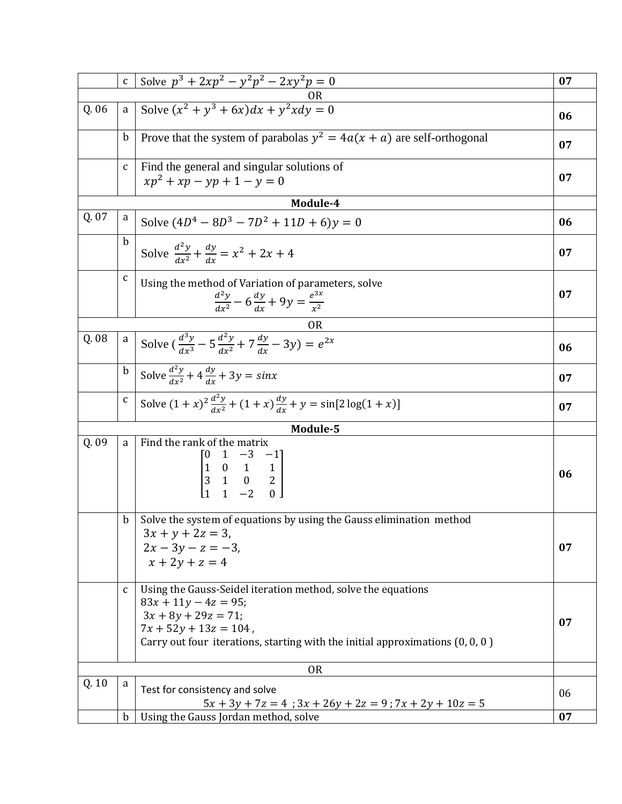|       | $\mathsf C$  | Solve $p^3 + 2xp^2 - y^2p^2 - 2xy^2p = 0$                                                                                                                                                                                       | 07 |  |
|-------|--------------|---------------------------------------------------------------------------------------------------------------------------------------------------------------------------------------------------------------------------------|----|--|
|       |              |                                                                                                                                                                                                                                 |    |  |
| Q. 06 | a            | Solve $(x^2 + y^3 + 6x)dx + y^2xdy = 0$                                                                                                                                                                                         | 06 |  |
|       | $\mathbf b$  | Prove that the system of parabolas $y^2 = 4a(x + a)$ are self-orthogonal                                                                                                                                                        | 07 |  |
|       | $\mathbf c$  | Find the general and singular solutions of                                                                                                                                                                                      |    |  |
|       |              | $xp^{2} + xp - yp + 1 - y = 0$                                                                                                                                                                                                  | 07 |  |
|       |              | Module-4                                                                                                                                                                                                                        |    |  |
| Q. 07 | a            | Solve $(4D^4 - 8D^3 - 7D^2 + 11D + 6)y = 0$                                                                                                                                                                                     | 06 |  |
|       | $\mathbf b$  | Solve $\frac{d^2y}{dx^2} + \frac{dy}{dx} = x^2 + 2x + 4$                                                                                                                                                                        | 07 |  |
|       | $\mathsf C$  | Using the method of Variation of parameters, solve<br>$\frac{d^2y}{dx^2} - 6\frac{dy}{dx} + 9y = \frac{e^{3x}}{x^2}$                                                                                                            | 07 |  |
|       |              | OR                                                                                                                                                                                                                              |    |  |
| Q. 08 | $\mathbf{a}$ | Solve $\left(\frac{d^3y}{dx^3} - 5\frac{d^2y}{dx^2} + 7\frac{dy}{dx} - 3y\right) = e^{2x}$                                                                                                                                      | 06 |  |
|       | $\bold{b}$   | Solve $\frac{d^2y}{dx^2} + 4\frac{dy}{dx} + 3y = sinx$                                                                                                                                                                          | 07 |  |
|       | $\mathbf{C}$ | Solve $(1+x)^2 \frac{d^2y}{dx^2} + (1+x) \frac{dy}{dx} + y = \sin[2\log(1+x)]$                                                                                                                                                  | 07 |  |
|       |              | Module-5                                                                                                                                                                                                                        |    |  |
| Q. 09 | a            | Find the rank of the matrix<br>$\begin{bmatrix} 0 & 1 & -3 & -1 \\ 1 & 0 & 1 & 1 \\ 3 & 1 & 0 & 2 \\ 1 & 1 & 2 & 0 \end{bmatrix}$                                                                                               | 06 |  |
|       | $\mathbf b$  | Solve the system of equations by using the Gauss elimination method<br>$3x + y + 2z = 3$ ,<br>$2x - 3y - z = -3$<br>$x + 2y + z = 4$                                                                                            | 07 |  |
|       | $\mathbf{C}$ | Using the Gauss-Seidel iteration method, solve the equations<br>$83x + 11y - 4z = 95;$<br>$3x + 8y + 29z = 71$ ;<br>$7x + 52y + 13z = 104$ ,<br>Carry out four iterations, starting with the initial approximations $(0, 0, 0)$ | 07 |  |
|       | <b>OR</b>    |                                                                                                                                                                                                                                 |    |  |
| Q. 10 | a            | Test for consistency and solve<br>$5x + 3y + 7z = 4$ ; $3x + 26y + 2z = 9$ ; $7x + 2y + 10z = 5$                                                                                                                                | 06 |  |
|       | $\mathbf b$  | Using the Gauss Jordan method, solve                                                                                                                                                                                            | 07 |  |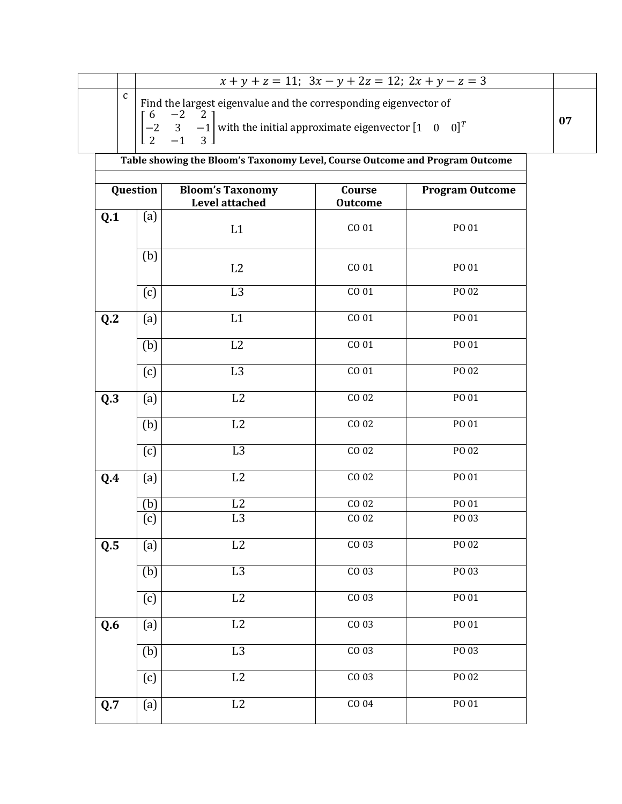|  | $x + y + z = 11$ ; $3x - y + 2z = 12$ ; $2x + y - z = 3$                                                                                                                                                           |    |
|--|--------------------------------------------------------------------------------------------------------------------------------------------------------------------------------------------------------------------|----|
|  | Find the largest eigenvalue and the corresponding eigenvector of<br>$\begin{bmatrix} 6 & -2 & 2 \\ -2 & 3 & -1 \end{bmatrix}$ with the initial approximate eigenvector $\begin{bmatrix} 1 & 0 & 0 \end{bmatrix}^T$ | 07 |

|          |     | Table showing the Bloom's Taxonomy Level, Course Outcome and Program Outcome |                          |                        |
|----------|-----|------------------------------------------------------------------------------|--------------------------|------------------------|
| Question |     | <b>Bloom's Taxonomy</b><br>Level attached                                    | Course<br><b>Outcome</b> | <b>Program Outcome</b> |
| Q.1      | (a) | L1                                                                           | CO 01                    | PO 01                  |
|          | (b) | L2                                                                           | CO 01                    | PO 01                  |
|          | (c) | L <sub>3</sub>                                                               | CO 01                    | PO 02                  |
| Q.2      | (a) | L1                                                                           | CO 01                    | PO 01                  |
|          | (b) | L2                                                                           | CO 01                    | PO 01                  |
|          | (c) | L <sub>3</sub>                                                               | CO 01                    | PO 02                  |
| Q.3      | (a) | L2                                                                           | CO 02                    | PO 01                  |
|          | (b) | L2                                                                           | CO <sub>02</sub>         | PO 01                  |
|          | (c) | L3                                                                           | CO 02                    | PO 02                  |
| Q.4      | (a) | $\overline{L2}$                                                              | CO 02                    | PO 01                  |
|          | (b) | L2                                                                           | CO 02                    | PO 01                  |
|          | (c) | $\overline{L3}$                                                              | CO 02                    | PO 03                  |
| Q.5      | (a) | L2                                                                           | CO 03                    | PO 02                  |
|          | (b) | L <sub>3</sub>                                                               | CO 03                    | PO 03                  |
|          | (c) | $\rm L2$                                                                     | CO 03                    | PO 01                  |
| Q.6      | (a) | L2                                                                           | CO 03                    | PO 01                  |
|          | (b) | L <sub>3</sub>                                                               | CO 03                    | PO 03                  |
|          | (c) | L2                                                                           | $CO$ 03                  | PO 02                  |
| Q.7      | (a) | L2                                                                           | CO <sub>04</sub>         | PO 01                  |